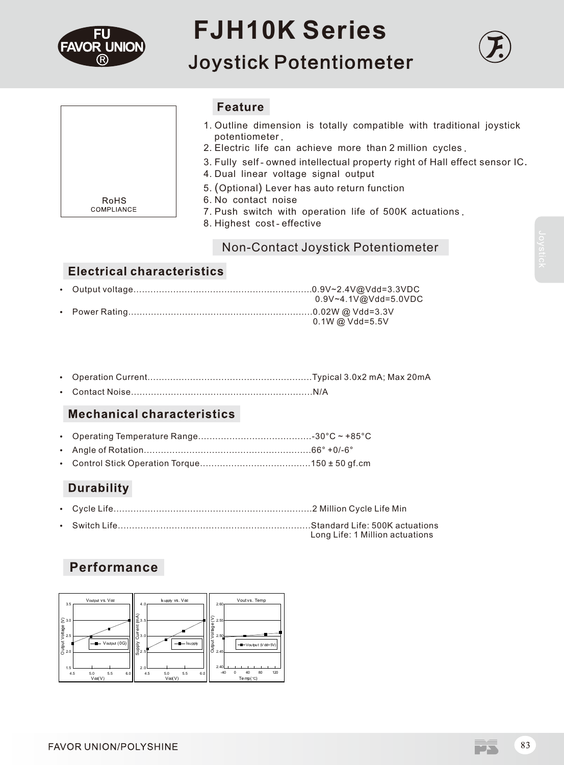

# **FJH10K Series**

**Joystick Potentiometer** 





**Feature** 

- 1. Outline dimension is totally compatible with traditional joystick potentiometer.
- 2. Electric life can achieve more than 2 million cycles.
- 3. Fully self-owned intellectual property right of Hall effect sensor IC.
- 4. Dual linear voltage signal output
- 5. (Optional) Lever has auto return function
- 6. No contact noise
- 7. Push switch with operation life of 500K actuations.
- 8. Highest cost-effective

# Non-Contact Joystick Potentiometer

# **Electrical characteristics**

|  | $0.9V - 4.1V@Vdd = 5.0VDC$ |
|--|----------------------------|
|  |                            |
|  | $0.1W @ Vdd = 5.5V$        |

- Ÿ Operation Current..........................................................Typical 3.0x2 mA; Max 20mA
- Ÿ Contact Noise................................................................N/A

# **Mechanical characteristics**

- Ÿ Operating Temperature Range........................................-30°C ~ +85°C
- Ÿ Angle of Rotation...........................................................66° +0/-6°
- Ÿ Control Stick Operation Torque.......................................150 ± 50 gf.cm

# **Durability**

- Ÿ Cycle Life......................................................................2 Million Cycle Life Min
- Ÿ Switch Life....................................................................Standard Life: 500K actuations Long Life: 1 Million actuations

# **Performance**



M. Tarih